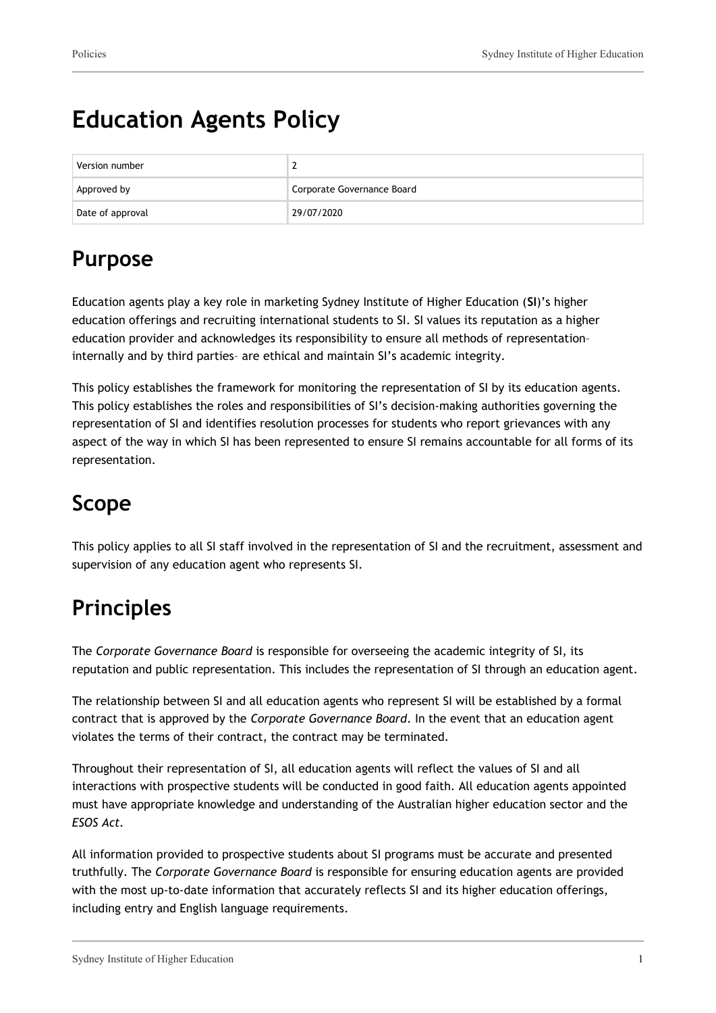# **Education Agents Policy**

| Version number   |                            |
|------------------|----------------------------|
| Approved by      | Corporate Governance Board |
| Date of approval | 29/07/2020                 |

# **Purpose**

Education agents play a key role in marketing Sydney Institute of Higher Education (**SI**)'s higher education offerings and recruiting international students to SI. SI values its reputation as a higher education provider and acknowledges its responsibility to ensure all methods of representation– internally and by third parties– are ethical and maintain SI's academic integrity.

This policy establishes the framework for monitoring the representation of SI by its education agents. This policy establishes the roles and responsibilities of SI's decision-making authorities governing the representation of SI and identifies resolution processes for students who report grievances with any aspect of the way in which SI has been represented to ensure SI remains accountable for all forms of its representation.

# **Scope**

This policy applies to all SI staff involved in the representation of SI and the recruitment, assessment and supervision of any education agent who represents SI.

# **Principles**

The *Corporate Governance Board* is responsible for overseeing the academic integrity of SI, its reputation and public representation. This includes the representation of SI through an education agent.

The relationship between SI and all education agents who represent SI will be established by a formal contract that is approved by the *Corporate Governance Board*. In the event that an education agent violates the terms of their contract, the contract may be terminated.

Throughout their representation of SI, all education agents will reflect the values of SI and all interactions with prospective students will be conducted in good faith. All education agents appointed must have appropriate knowledge and understanding of the Australian higher education sector and the *ESOS Act.*

All information provided to prospective students about SI programs must be accurate and presented truthfully. The *Corporate Governance Board* is responsible for ensuring education agents are provided with the most up-to-date information that accurately reflects SI and its higher education offerings, including entry and English language requirements.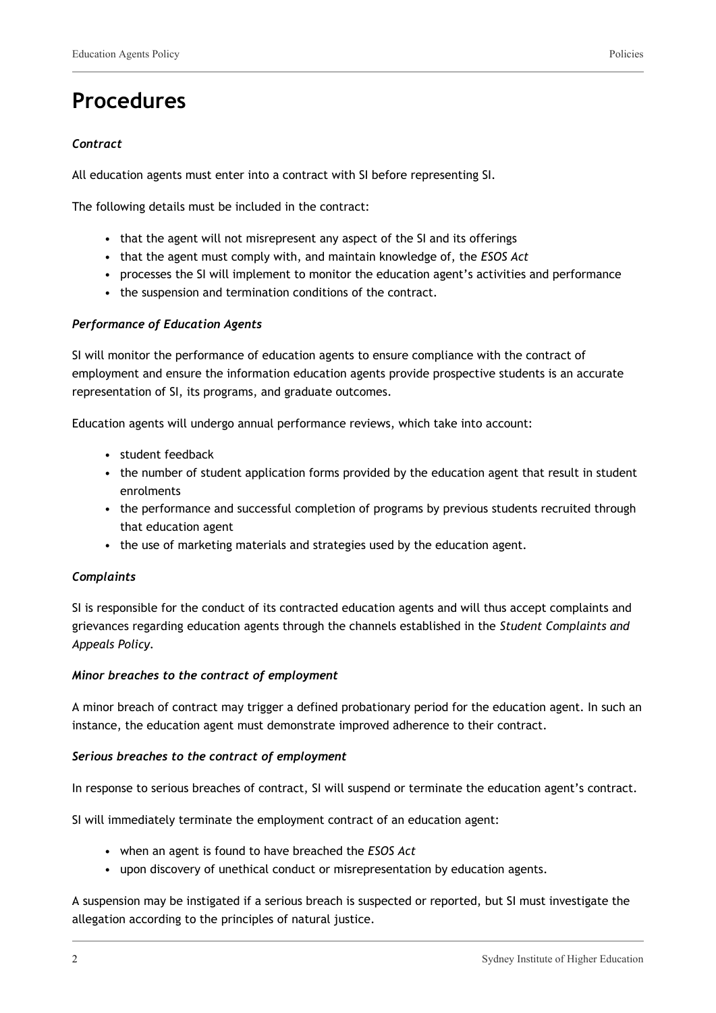### **Procedures**

#### *Contract*

All education agents must enter into a contract with SI before representing SI.

The following details must be included in the contract:

- that the agent will not misrepresent any aspect of the SI and its offerings
- that the agent must comply with, and maintain knowledge of, the *ESOS Act*
- processes the SI will implement to monitor the education agent's activities and performance
- the suspension and termination conditions of the contract.

#### *Performance of Education Agents*

SI will monitor the performance of education agents to ensure compliance with the contract of employment and ensure the information education agents provide prospective students is an accurate representation of SI, its programs, and graduate outcomes.

Education agents will undergo annual performance reviews, which take into account:

- student feedback
- the number of student application forms provided by the education agent that result in student enrolments
- the performance and successful completion of programs by previous students recruited through that education agent
- the use of marketing materials and strategies used by the education agent.

#### *Complaints*

SI is responsible for the conduct of its contracted education agents and will thus accept complaints and grievances regarding education agents through the channels established in the *Student Complaints and Appeals Policy.*

#### *Minor breaches to the contract of employment*

A minor breach of contract may trigger a defined probationary period for the education agent. In such an instance, the education agent must demonstrate improved adherence to their contract.

#### *Serious breaches to the contract of employment*

In response to serious breaches of contract, SI will suspend or terminate the education agent's contract.

SI will immediately terminate the employment contract of an education agent:

- when an agent is found to have breached the *ESOS Act*
- upon discovery of unethical conduct or misrepresentation by education agents.

A suspension may be instigated if a serious breach is suspected or reported, but SI must investigate the allegation according to the principles of natural justice.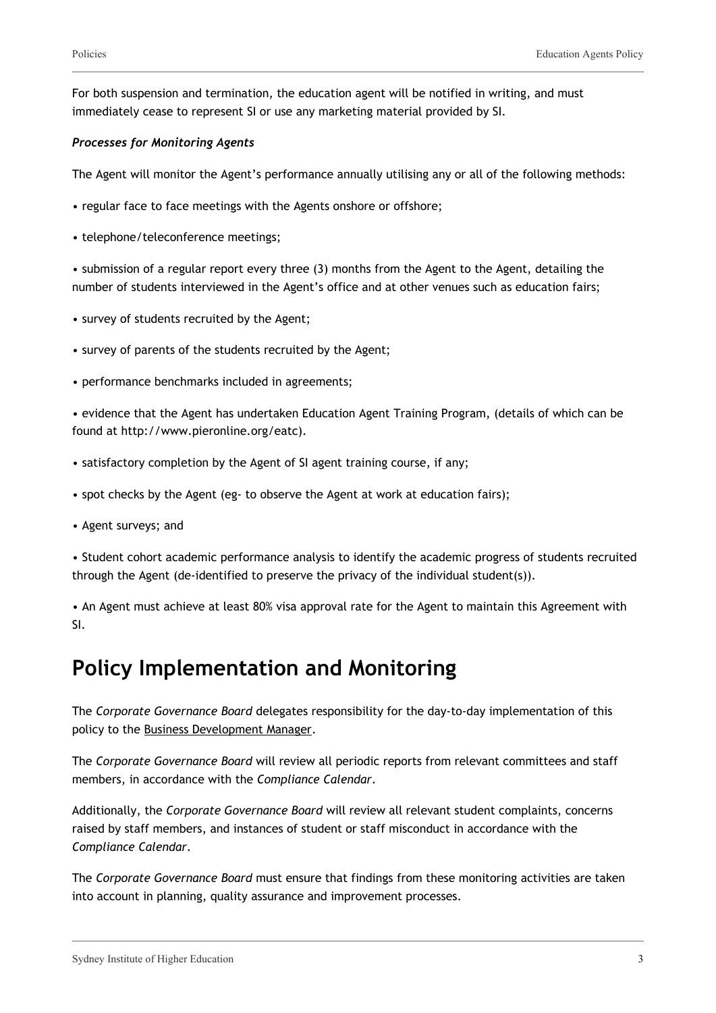For both suspension and termination, the education agent will be notified in writing, and must immediately cease to represent SI or use any marketing material provided by SI.

#### *Processes for Monitoring Agents*

The Agent will monitor the Agent's performance annually utilising any or all of the following methods:

- regular face to face meetings with the Agents onshore or offshore;
- telephone/teleconference meetings;

• submission of a regular report every three (3) months from the Agent to the Agent, detailing the number of students interviewed in the Agent's office and at other venues such as education fairs;

- survey of students recruited by the Agent;
- survey of parents of the students recruited by the Agent;
- performance benchmarks included in agreements;

• evidence that the Agent has undertaken Education Agent Training Program, (details of which can be found at http://www.pieronline.org/eatc).

- satisfactory completion by the Agent of SI agent training course, if any;
- spot checks by the Agent (eg- to observe the Agent at work at education fairs);
- Agent surveys; and

• Student cohort academic performance analysis to identify the academic progress of students recruited through the Agent (de-identified to preserve the privacy of the individual student(s)).

• An Agent must achieve at least 80% visa approval rate for the Agent to maintain this Agreement with SI.

### **Policy Implementation and Monitoring**

The *Corporate Governance Board* delegates responsibility for the day-to-day implementation of this policy to the Business Development Manager.

The *Corporate Governance Board* will review all periodic reports from relevant committees and staff members, in accordance with the *Compliance Calendar*.

Additionally, the *Corporate Governance Board* will review all relevant student complaints, concerns raised by staff members, and instances of student or staff misconduct in accordance with the *Compliance Calendar*.

The *Corporate Governance Board* must ensure that findings from these monitoring activities are taken into account in planning, quality assurance and improvement processes.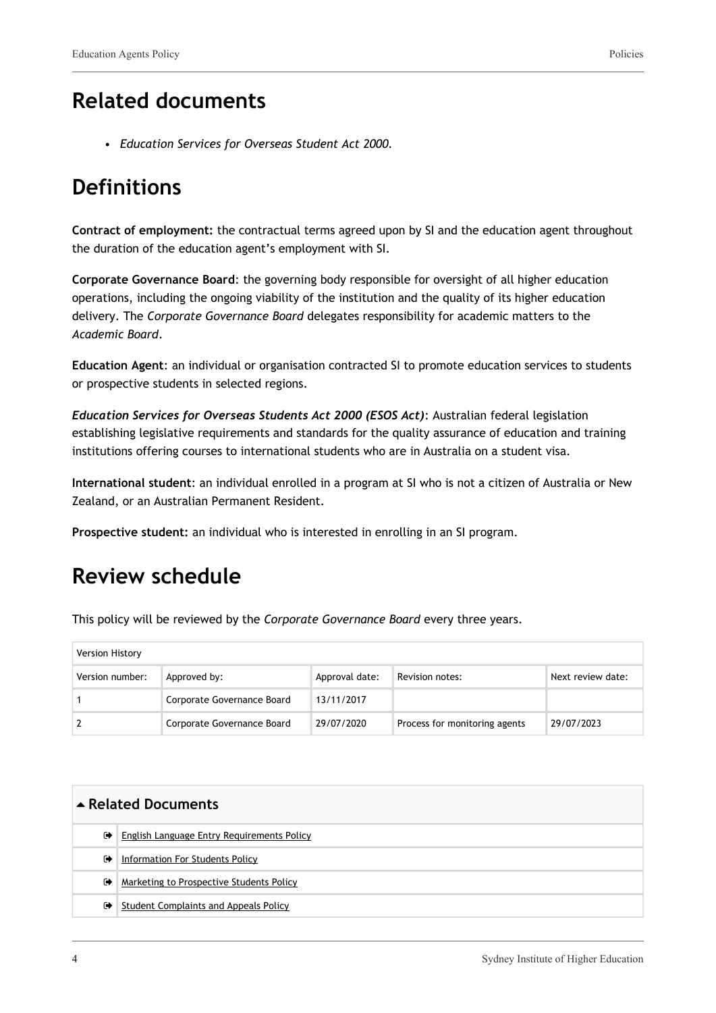### **Related documents**

• *Education Services for Overseas Student Act 2000.*

### **Definitions**

**Contract of employment:** the contractual terms agreed upon by SI and the education agent throughout the duration of the education agent's employment with SI.

**Corporate Governance Board**: the governing body responsible for oversight of all higher education operations, including the ongoing viability of the institution and the quality of its higher education delivery. The *Corporate Governance Board* delegates responsibility for academic matters to the *Academic Board*.

**Education Agent**: an individual or organisation contracted SI to promote education services to students or prospective students in selected regions.

*Education Services for Overseas Students Act 2000 (ESOS Act)*: Australian federal legislation establishing legislative requirements and standards for the quality assurance of education and training institutions offering courses to international students who are in Australia on a student visa.

**International student**: an individual enrolled in a program at SI who is not a citizen of Australia or New Zealand, or an Australian Permanent Resident.

**Prospective student:** an individual who is interested in enrolling in an SI program.

### **Review schedule**

This policy will be reviewed by the *Corporate Governance Board* every three years.

| Version History |                            |                |                               |                   |
|-----------------|----------------------------|----------------|-------------------------------|-------------------|
| Version number: | Approved by:               | Approval date: | Revision notes:               | Next review date: |
|                 | Corporate Governance Board | 13/11/2017     |                               |                   |
|                 | Corporate Governance Board | 29/07/2020     | Process for monitoring agents | 29/07/2023        |

| ▲ Related Documents |                                            |
|---------------------|--------------------------------------------|
| ☞                   | English Language Entry Requirements Policy |
| $\bullet$           | Information For Students Policy            |
| $\bullet$           | Marketing to Prospective Students Policy   |
| $\bullet$           | Student Complaints and Appeals Policy      |